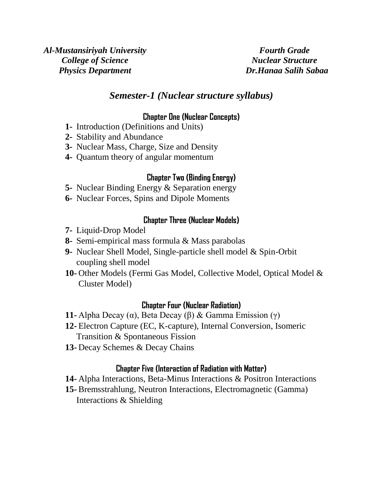*Fourth Grade Nuclear Structure Dr.Hanaa Salih Sabaa* 

# *Semester-1 (Nuclear structure syllabus)*

#### **Chapter One (Nuclear Concepts)**

- **1-** Introduction (Definitions and Units)
- **2-** Stability and Abundance
- **3-** Nuclear Mass, Charge, Size and Density
- **4-** Quantum theory of angular momentum

### **Chapter Two (Binding Energy)**

- **5-** Nuclear Binding Energy & Separation energy
- **6-** Nuclear Forces, Spins and Dipole Moments

## **Chapter Three (Nuclear Models)**

- **7-** Liquid-Drop Model
- **8-** Semi-empirical mass formula & Mass parabolas
- **9-** Nuclear Shell Model, Single-particle shell model & Spin-Orbit coupling shell model
- **10-** Other Models (Fermi Gas Model, Collective Model, Optical Model & Cluster Model)

#### **Chapter Four (Nuclear Radiation)**

- **11-** Alpha Decay (α), Beta Decay (β) & Gamma Emission (γ)
- **12-** Electron Capture (EC, K-capture), Internal Conversion, Isomeric Transition & Spontaneous Fission
- **13-** Decay Schemes & Decay Chains

## **Chapter Five (Interaction of Radiation with Matter)**

- **14-** Alpha Interactions, Beta-Minus Interactions & Positron Interactions
- **15-** Bremsstrahlung, Neutron Interactions, Electromagnetic (Gamma) Interactions & Shielding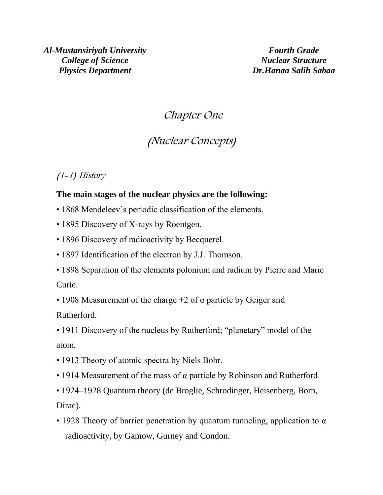*Al-Mustansiriyah University College of Science Physics Department*

*Fourth Grade Nuclear Structure Dr.Hanaa Salih Sabaa*

# Chapter One

# (Nuclear Concepts)

(1-1) History

## **The main stages of the nuclear physics are the following:**

- 1868 Mendeleev's periodic classification of the elements.
- 1895 Discovery of X-rays by Roentgen.
- 1896 Discovery of radioactivity by Becquerel.
- 1897 Identification of the electron by J.J. Thomson.
- 1898 Separation of the elements polonium and radium by Pierre and Marie Curie.

• 1908 Measurement of the charge  $+2$  of  $\alpha$  particle by Geiger and Rutherford.

• 1911 Discovery of the nucleus by Rutherford; "planetary" model of the atom.

- 1913 Theory of atomic spectra by Niels Bohr.
- 1914 Measurement of the mass of α particle by Robinson and Rutherford.
- 1924–1928 Quantum theory (de Broglie, Schrodinger, Heisenberg, Born, Dirac).
- 1928 Theory of barrier penetration by quantum tunneling, application to  $\alpha$ radioactivity, by Gamow, Gurney and Condon.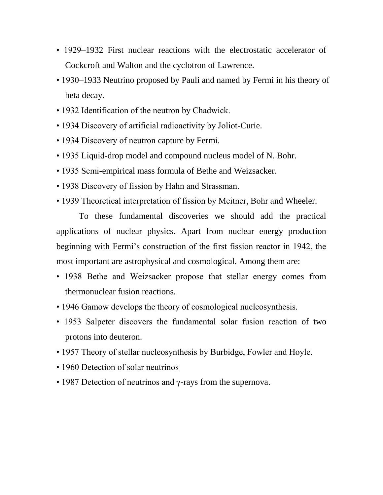- 1929–1932 First nuclear reactions with the electrostatic accelerator of Cockcroft and Walton and the cyclotron of Lawrence.
- 1930–1933 Neutrino proposed by Pauli and named by Fermi in his theory of beta decay.
- 1932 Identification of the neutron by Chadwick.
- 1934 Discovery of artificial radioactivity by Joliot-Curie.
- 1934 Discovery of neutron capture by Fermi.
- 1935 Liquid-drop model and compound nucleus model of N. Bohr.
- 1935 Semi-empirical mass formula of Bethe and Weizsacker.
- 1938 Discovery of fission by Hahn and Strassman.
- 1939 Theoretical interpretation of fission by Meitner, Bohr and Wheeler.

To these fundamental discoveries we should add the practical applications of nuclear physics. Apart from nuclear energy production beginning with Fermi's construction of the first fission reactor in 1942, the most important are astrophysical and cosmological. Among them are:

- 1938 Bethe and Weizsacker propose that stellar energy comes from thermonuclear fusion reactions.
- 1946 Gamow develops the theory of cosmological nucleosynthesis.
- 1953 Salpeter discovers the fundamental solar fusion reaction of two protons into deuteron.
- 1957 Theory of stellar nucleosynthesis by Burbidge, Fowler and Hoyle.
- 1960 Detection of solar neutrinos
- 1987 Detection of neutrinos and γ-rays from the supernova.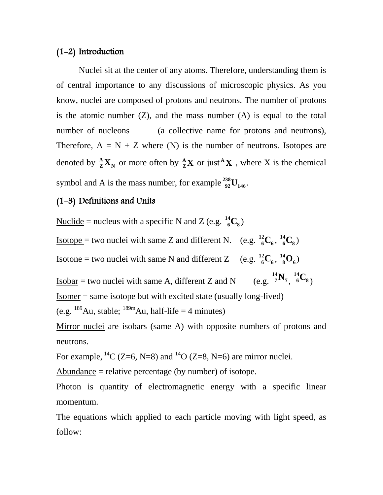#### (1-2) Introduction

Nuclei sit at the center of any atoms. Therefore, understanding them is of central importance to any discussions of microscopic physics. As you know, nuclei are composed of protons and neutrons. The number of protons is the atomic number  $(Z)$ , and the mass number  $(A)$  is equal to the total number of nucleons (a collective name for protons and neutrons), Therefore,  $A = N + Z$  where (N) is the number of neutrons. Isotopes are denoted by  $^{\mathbf{A}}_{\mathbf{Z}}\mathbf{X}_{\mathbf{N}}$  $\frac{A}{Z}$ **X**<sub>N</sub> or more often by  $\frac{A}{Z}$ **X**  $Z^{\mathbf{A}}$ **X** or just<sup>**A**</sup>**X**, where X is the chemical symbol and A is the mass number, for example  $^{238}_{92}$ U<sub>146</sub>  $^{238}_{92}$ **U**<sub>146</sub>.

#### (1-3) Definitions and Units

Nuclide = nucleus with a specific N and Z (e.g.  $^{14}_{6}C_8$ )  $^{14}_{6}C_{8}$ 

<u>Isotope</u> = two nuclei with same Z and different N. (e.g.  $^{12}_{6}C_{6}$ )  $^{12}_{6}C_6$ ,  $^{14}_{6}C_8$  $^{14}_{6}C_{8}$ )

<u>Isotone</u> = two nuclei with same N and different Z (e.g.  $^{12}_{6}C_{6}$ )  $^{12}_{6}C_6$ ,  $^{14}_{8}O_6$  $^{14}_{8}$ O<sub>6</sub>)

 $Isobar = two nuclei with same A, different Z and N$ **7**  $^{14}_{7}\mathrm{N}_7$ <sub>,  $^{14}_{6}\mathrm{C}_8$ </sub>  $^{14}_{6}C_{8}$ 

Isomer = same isotope but with excited state (usually long-lived)

(e.g.  $^{189}$ Au, stable;  $^{189m}$ Au, half-life = 4 minutes)

Mirror nuclei are isobars (same A) with opposite numbers of protons and neutrons.

For example,  ${}^{14}C$  (Z=6, N=8) and  ${}^{14}O$  (Z=8, N=6) are mirror nuclei.

Abundance = relative percentage (by number) of isotope.

Photon is quantity of electromagnetic energy with a specific linear momentum.

The equations which applied to each particle moving with light speed, as follow: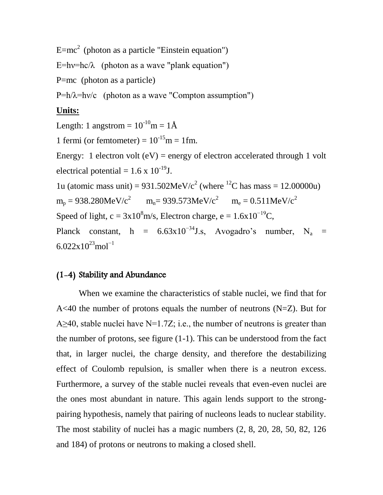$E=mc^2$  (photon as a particle "Einstein equation")

 $E=hv=hc/\lambda$  (photon as a wave "plank equation")

P=mc (photon as a particle)

 $P=h/\lambda=h\nu/c$  (photon as a wave "Compton assumption")

## **Units:**

Length: 1 angstrom =  $10^{-10}$ m =  $1\text{\AA}$ 1 fermi (or femtometer) =  $10^{-15}$ m = 1fm. Energy: 1 electron volt  $(eV)$  = energy of electron accelerated through 1 volt electrical potential =  $1.6 \times 10^{-19}$ J. 1u (atomic mass unit) =  $931.502$ MeV/c<sup>2</sup> (where <sup>12</sup>C has mass = 12.00000u)  $m_p = 938.280MeV/c^2$   $m_n = 939.573MeV/c^2$   $m_e = 0.511MeV/c^2$ Speed of light, c =  $3x10^8$ m/s, Electron charge, e =  $1.6x10^{-19}$ C, Planck constant, h =  $6.63 \times 10^{-34}$ J.s, Avogadro's number, N<sub>a</sub> =  $6.022x10^{23}$ mol<sup>-1</sup>

# (1-4) Stability and Abundance

When we examine the characteristics of stable nuclei, we find that for A<40 the number of protons equals the number of neutrons  $(N=Z)$ . But for A $\geq$ 40, stable nuclei have N=1.7Z; i.e., the number of neutrons is greater than the number of protons, see figure (1-1). This can be understood from the fact that, in larger nuclei, the charge density, and therefore the destabilizing effect of Coulomb repulsion, is smaller when there is a neutron excess. Furthermore, a survey of the stable nuclei reveals that even-even nuclei are the ones most abundant in nature. This again lends support to the strongpairing hypothesis, namely that pairing of nucleons leads to nuclear stability. The most stability of nuclei has a magic numbers (2, 8, 20, 28, 50, 82, 126 and 184) of protons or neutrons to making a closed shell.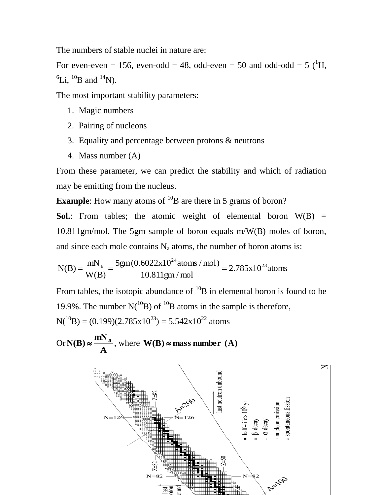The numbers of stable nuclei in nature are:

For even-even = 156, even-odd = 48, odd-even = 50 and odd-odd = 5  $(^1H$ ,  ${}^{6}$ Li,  ${}^{10}$ B and  ${}^{14}$ N).

The most important stability parameters:

- 1. Magic numbers
- 2. Pairing of nucleons
- 3. Equality and percentage between protons & neutrons
- 4. Mass number (A)

From these parameter, we can predict the stability and which of radiation may be emitting from the nucleus.

**Example**: How many atoms of <sup>10</sup>B are there in 5 grams of boron?

**Sol.**: From tables; the atomic weight of elemental boron  $W(B)$  = 10.811gm/mol. The 5gm sample of boron equals m/W(B) moles of boron,  $\frac{a_1}{24}$ 

and since each mole contains N<sub>a</sub> atoms, the number of boron atoms is:  
\n
$$
N(B) = \frac{mN_a}{W(B)} = \frac{5gm(0.6022x10^{24} \text{ atoms} / \text{mol})}{10.811gm / \text{mol}} = 2.785x10^{23} \text{atoms}
$$

From tables, the isotopic abundance of  $^{10}B$  in elemental boron is found to be 19.9%. The number  $N(^{10}B)$  of  $^{10}B$  atoms in the sample is therefore,  $N(^{10}B) = (0.199)(2.785 \times 10^{23}) = 5.542 \times 10^{22}$  atoms

Or **A**  $N(B) \approx \frac{mN_a}{A}$ , where  $N(B) \approx \text{mass number (A)}$ 

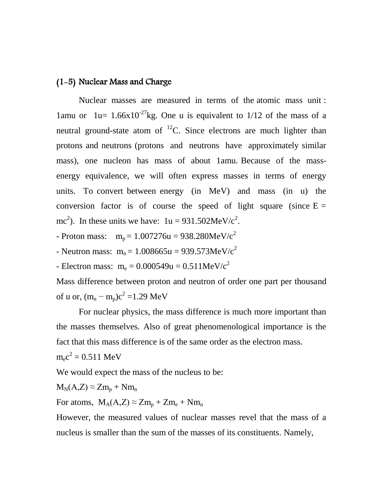# (1-5) Nuclear Mass and Charge

Nuclear masses are measured in terms of the atomic mass unit : 1amu or 1u=  $1.66x10^{-27}$ kg. One u is equivalent to 1/12 of the mass of a neutral ground-state atom of  $^{12}$ C. Since electrons are much lighter than protons and neutrons (protons and neutrons have approximately similar mass), one nucleon has mass of about 1amu. Because of the massenergy equivalence, we will often express masses in terms of energy units. To convert between energy (in MeV) and mass (in u) the conversion factor is of course the speed of light square (since  $E =$ mc<sup>2</sup>). In these units we have:  $1u = 931.502MeV/c<sup>2</sup>$ .

- Proton mass:  $m_p = 1.007276u = 938.280MeV/c^2$
- Neutron mass:  $m_n = 1.008665u = 939.573MeV/c^2$
- Electron mass:  $m_e = 0.000549u = 0.511MeV/c^2$

Mass difference between proton and neutron of order one part per thousand of u or,  $(m_n - m_p)c^2 = 1.29$  MeV

For nuclear physics, the mass difference is much more important than the masses themselves. Also of great phenomenological importance is the fact that this mass difference is of the same order as the electron mass.

$$
m_e c^2 = 0.511 \text{ MeV}
$$

We would expect the mass of the nucleus to be:

$$
M_N(A,Z) \approx Zm_p + Nm_n
$$

For atoms,  $M_A(A,Z) \approx Zm_p + Zm_e + Nm_n$ 

However, the measured values of nuclear masses revel that the mass of a nucleus is smaller than the sum of the masses of its constituents. Namely,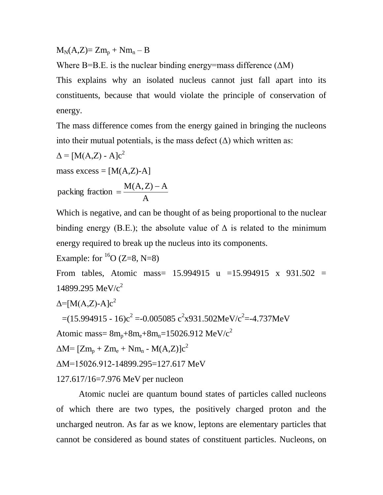$M_N(A,Z) = Zm_p + Nm_n - B$ 

Where B=B.E. is the nuclear binding energy=mass difference  $( \Delta M)$ 

This explains why an isolated nucleus cannot just fall apart into its constituents, because that would violate the principle of conservation of energy.

The mass difference comes from the energy gained in bringing the nucleons into their mutual potentials, is the mass defect  $(\Delta)$  which written as:

$$
\Delta = [M(A,Z) - A]c^{2}
$$
  
mass excess = [M(A,Z)-A]  
packing fraction = 
$$
\frac{M(A,Z) - A}{A}
$$

Which is negative, and can be thought of as being proportional to the nuclear binding energy (B.E.); the absolute value of  $\Delta$  is related to the minimum energy required to break up the nucleus into its components.

Example: for  ${}^{16}O(Z=8, N=8)$ 

From tables, Atomic mass= 15.994915 u =15.994915 x 931.502 = 14899.295 MeV/ $c^2$ 

$$
\Delta = [M(A,Z) - A]c^2
$$

 $=(15.994915 - 16)c^2 = -0.005085 c^2x931.502MeV/c^2 = -4.737MeV$ 

Atomic mass=  $8m_n+8m_e+8m_n=15026.912$  MeV/c<sup>2</sup>

 $\Delta M = [Zm_p + Zm_e + Nm_n - M(A,Z)]c^2$ 

ΔM=15026.912-14899.295=127.617 MeV

127.617/16=7.976 MeV per nucleon

Atomic nuclei are quantum bound states of particles called nucleons of which there are two types, the positively charged proton and the uncharged neutron. As far as we know, leptons are elementary particles that cannot be considered as bound states of constituent particles. Nucleons, on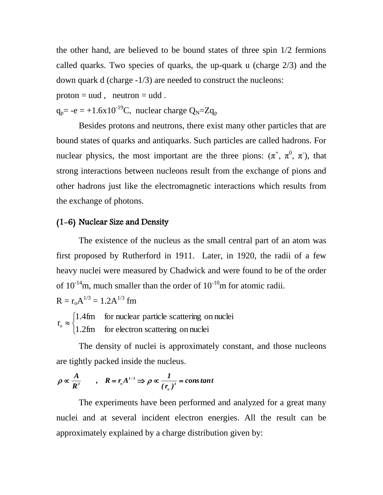the other hand, are believed to be bound states of three spin 1/2 fermions called quarks. Two species of quarks, the up-quark u (charge 2/3) and the down quark d (charge -1/3) are needed to construct the nucleons:

 $proton = uud$ ,  $neutron = udd$ .

 $q_p$ = -e = +1.6x10<sup>-19</sup>C, nuclear charge  $Q_N$ =Z $q_p$ 

Besides protons and neutrons, there exist many other particles that are bound states of quarks and antiquarks. Such particles are called hadrons. For nuclear physics, the most important are the three pions:  $(\pi^+, \pi^0, \pi)$ , that strong interactions between nucleons result from the exchange of pions and other hadrons just like the electromagnetic interactions which results from the exchange of photons.

### (1-6) Nuclear Size and Density

The existence of the nucleus as the small central part of an atom was first proposed by Rutherford in 1911. Later, in 1920, the radii of a few heavy nuclei were measured by Chadwick and were found to be of the order of  $10^{-14}$ m, much smaller than the order of  $10^{-10}$ m for atomic radii.

 $R = r_o A^{1/3} = 1.2 A^{1/3}$  fm

 $\overline{C}$  $\left\{ \right.$  $\int$  $\approx$ 1.2fm for electron scattering on nuclei 1.4fm for nuclear particle scattering on nuclei  $r_{o}$ 

The density of nuclei is approximately constant, and those nucleons are tightly packed inside the nucleus.

$$
\rho \propto \frac{A}{R^3} \qquad , \quad R = r_o A^{1/3} \Rightarrow \rho \propto \frac{1}{(r_o)^3} = constant
$$

The experiments have been performed and analyzed for a great many nuclei and at several incident electron energies. All the result can be approximately explained by a charge distribution given by: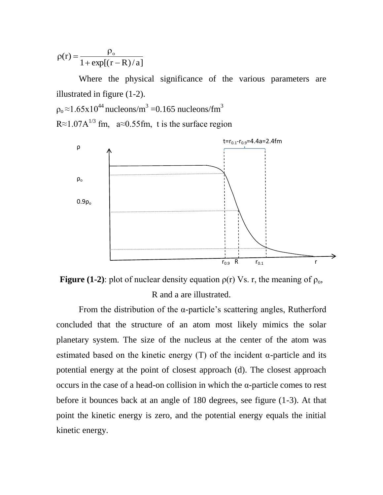$1 + \exp[(r - R)/a]$  $(r) = \frac{P_0}{1 - r}$  $+ \exp[(r \rho$  $\rho(r) =$ 

Where the physical significance of the various parameters are illustrated in figure (1-2).  $\rho_{\rm o} \approx 1.65 \mathrm{x} 10^{44}$  nucleons/m<sup>3</sup> = 0.165 nucleons/fm<sup>3</sup>

R≈1.07A<sup>1/3</sup> fm, a≈0.55fm, t is the surface region





From the distribution of the  $\alpha$ -particle's scattering angles, Rutherford concluded that the structure of an atom most likely mimics the solar planetary system. The size of the nucleus at the center of the atom was estimated based on the kinetic energy  $(T)$  of the incident  $\alpha$ -particle and its potential energy at the point of closest approach (d). The closest approach occurs in the case of a head-on collision in which the α-particle comes to rest before it bounces back at an angle of 180 degrees, see figure (1-3). At that point the kinetic energy is zero, and the potential energy equals the initial kinetic energy.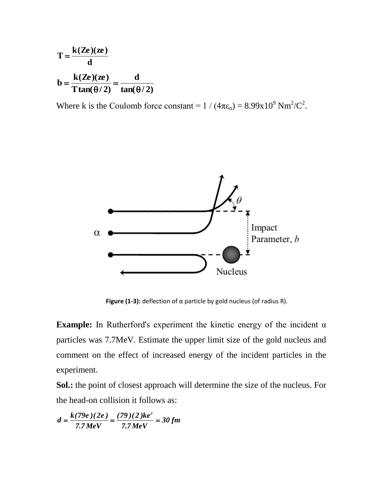$$
T = \frac{k(Ze)(ze)}{d}
$$
  

$$
b = \frac{k(Ze)(ze)}{T\tan(\theta/2)} = \frac{d}{tan(\theta/2)}
$$

Where k is the Coulomb force constant =  $1/(4\pi\epsilon_0) = 8.99 \times 10^9 \text{ Nm}^2/\text{C}^2$ .



**Figure (1-3):** deflection of α particle by gold nucleus (of radius R).

**Example:** In Rutherford's experiment the kinetic energy of the incident  $\alpha$ particles was 7.7MeV. Estimate the upper limit size of the gold nucleus and comment on the effect of increased energy of the incident particles in the experiment.

**Sol.:** the point of closest approach will determine the size of the nucleus. For the head-on collision it follows as:

$$
d = \frac{k(79e)(2e)}{7.7 MeV} = \frac{(79)(2)ke^2}{7.7 MeV} = 30 fm
$$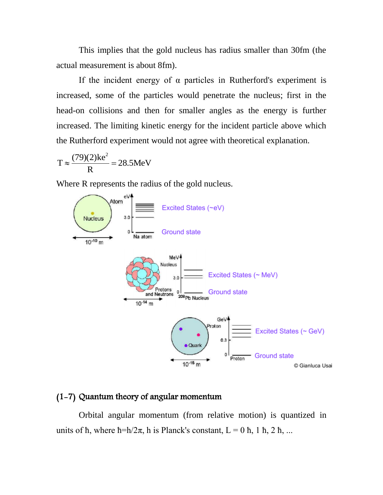This implies that the gold nucleus has radius smaller than 30fm (the actual measurement is about 8fm).

If the incident energy of  $\alpha$  particles in Rutherford's experiment is increased, some of the particles would penetrate the nucleus; first in the head-on collisions and then for smaller angles as the energy is further increased. The limiting kinetic energy for the incident particle above which the Rutherford experiment would not agree with theoretical explanation.

$$
T \approx \frac{(79)(2)ke^2}{R} = 28.5MeV
$$

Where R represents the radius of the gold nucleus.



# (1-7) Quantum theory of angular momentum

Orbital angular momentum (from relative motion) is quantized in units of  $\hbar$ , where  $\hbar = h/2\pi$ , h is Planck's constant,  $L = 0 \hbar$ , 1  $\hbar$ , 2  $\hbar$ , ...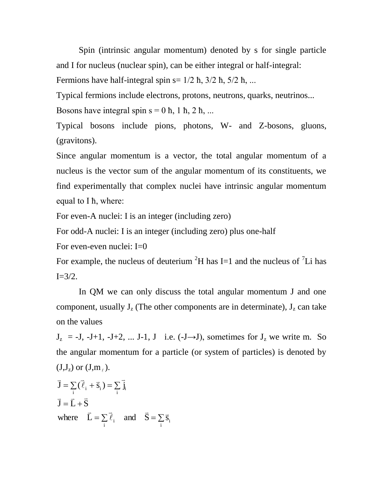Spin (intrinsic angular momentum) denoted by s for single particle and I for nucleus (nuclear spin), can be either integral or half-integral: Fermions have half-integral spin  $s = 1/2$  ħ,  $3/2$  ħ,  $5/2$  ħ, ...

Typical fermions include electrons, protons, neutrons, quarks, neutrinos... Bosons have integral spin  $s = 0$   $\hbar$ , 1  $\hbar$ , 2  $\hbar$ , ...

Typical bosons include pions, photons, W- and Z-bosons, gluons, (gravitons).

Since angular momentum is a vector, the total angular momentum of a nucleus is the vector sum of the angular momentum of its constituents, we find experimentally that complex nuclei have intrinsic angular momentum equal to I ћ, where:

For even-A nuclei: I is an integer (including zero)

For odd-A nuclei: I is an integer (including zero) plus one-half

For even-even nuclei:  $I=0$ 

For example, the nucleus of deuterium  ${}^{2}H$  has I=1 and the nucleus of  ${}^{7}Li$  has  $I=3/2$ .

In QM we can only discuss the total angular momentum J and one component, usually  $J_z$  (The other components are in determinate),  $J_z$  can take on the values

 $J_z = -J$ ,  $-J+1$ ,  $-J+2$ , ...  $J-1$ ,  $J$  i.e.  $(-J\rightarrow J)$ , sometimes for  $J_z$  we write m. So the angular momentum for a particle (or system of particles) is denoted by  $(J,J_z)$  or  $(J,m_\ell)$ .

$$
\vec{J} = \sum_{i} (\vec{\ell}_{i} + \vec{s}_{i}) = \sum_{i} \vec{j}_{i}
$$
  
\n
$$
\vec{J} = \vec{L} + \vec{S}
$$
  
\nwhere  $\vec{L} = \sum_{i} \vec{\ell}_{i}$  and  $\vec{S} = \sum_{i} \vec{s}_{i}$